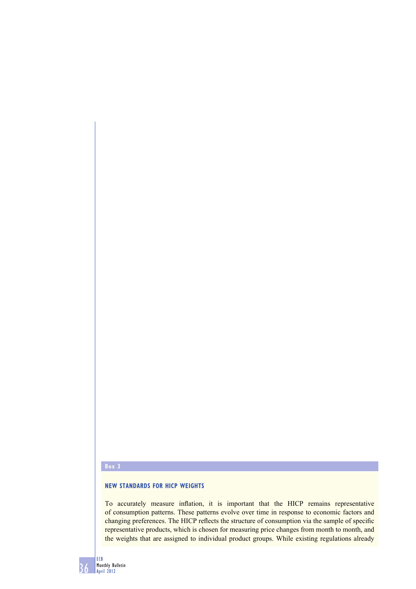## **Box 3**

## **NEW STANDARDS FOR HICP WEIGHTS**

To accurately measure inflation, it is important that the HICP remains representative of consumption patterns. These patterns evolve over time in response to economic factors and changing preferences. The HICP reflects the structure of consumption via the sample of specific representative products, which is chosen for measuring price changes from month to month, and the weights that are assigned to individual product groups. While existing regulations already

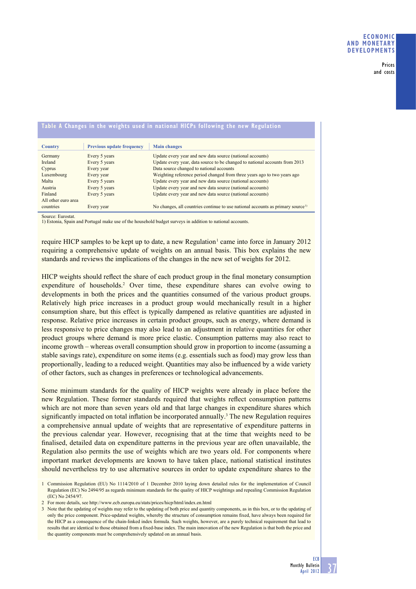**Prices and costs**

| Table A Changes in the weights used in national HICPs following the new Regulation |                                  |                                                                                             |  |  |  |  |  |  |
|------------------------------------------------------------------------------------|----------------------------------|---------------------------------------------------------------------------------------------|--|--|--|--|--|--|
|                                                                                    |                                  |                                                                                             |  |  |  |  |  |  |
| <b>Country</b>                                                                     | <b>Previous update frequency</b> | <b>Main changes</b>                                                                         |  |  |  |  |  |  |
| Germany                                                                            | Every 5 years                    | Update every year and new data source (national accounts)                                   |  |  |  |  |  |  |
| Ireland                                                                            | Every 5 years                    | Update every year, data source to be changed to national accounts from 2013                 |  |  |  |  |  |  |
| Cyprus                                                                             | Every year                       | Data source changed to national accounts                                                    |  |  |  |  |  |  |
| Luxembourg                                                                         | Every year                       | Weighting reference period changed from three years ago to two years ago                    |  |  |  |  |  |  |
| Malta                                                                              | Every 5 years                    | Update every year and new data source (national accounts)                                   |  |  |  |  |  |  |
| Austria                                                                            | Every 5 years                    | Update every year and new data source (national accounts)                                   |  |  |  |  |  |  |
| Finland                                                                            | Every 5 years                    | Update every year and new data source (national accounts)                                   |  |  |  |  |  |  |
| All other euro area                                                                |                                  |                                                                                             |  |  |  |  |  |  |
| countries                                                                          | Every year                       | No changes, all countries continue to use national accounts as primary source <sup>1)</sup> |  |  |  |  |  |  |

Source: Eurostat.

1) Estonia, Spain and Portugal make use of the household budget surveys in addition to national accounts.

require HICP samples to be kept up to date, a new Regulation<sup>1</sup> came into force in January 2012 requiring a comprehensive update of weights on an annual basis. This box explains the new standards and reviews the implications of the changes in the new set of weights for 2012.

HICP weights should reflect the share of each product group in the final monetary consumption expenditure of households.<sup>2</sup> Over time, these expenditure shares can evolve owing to developments in both the prices and the quantities consumed of the various product groups. Relatively high price increases in a product group would mechanically result in a higher consumption share, but this effect is typically dampened as relative quantities are adjusted in response. Relative price increases in certain product groups, such as energy, where demand is less responsive to price changes may also lead to an adjustment in relative quantities for other product groups where demand is more price elastic. Consumption patterns may also react to income growth – whereas overall consumption should grow in proportion to income (assuming a stable savings rate), expenditure on some items (e.g. essentials such as food) may grow less than proportionally, leading to a reduced weight. Quantities may also be influenced by a wide variety of other factors, such as changes in preferences or technological advancements.

Some minimum standards for the quality of HICP weights were already in place before the new Regulation. These former standards required that weights reflect consumption patterns which are not more than seven years old and that large changes in expenditure shares which significantly impacted on total inflation be incorporated annually.<sup>3</sup> The new Regulation requires a comprehensive annual update of weights that are representative of expenditure patterns in the previous calendar year. However, recognising that at the time that weights need to be finalised, detailed data on expenditure patterns in the previous year are often unavailable, the Regulation also permits the use of weights which are two years old. For components where important market developments are known to have taken place, national statistical institutes should nevertheless try to use alternative sources in order to update expenditure shares to the

2 For more details, see http://www.ecb.europa.eu/stats/prices/hicp/html/index.en.html

3 Note that the updating of weights may refer to the updating of both price and quantity components, as in this box, or to the updating of only the price component. Price-updated weights, whereby the structure of consumption remains fixed, have always been required for the HICP as a consequence of the chain-linked index formula. Such weights, however, are a purely technical requirement that lead to results that are identical to those obtained from a fixed-base index. The main innovation of the new Regulation is that both the price and the quantity components must be comprehensively updated on an annual basis.

<sup>1</sup> Commission Regulation (EU) No 1114/2010 of 1 December 2010 laying down detailed rules for the implementation of Council Regulation (EC) No 2494/95 as regards minimum standards for the quality of HICP weightings and repealing Commission Regulation (EC) No 2454/97.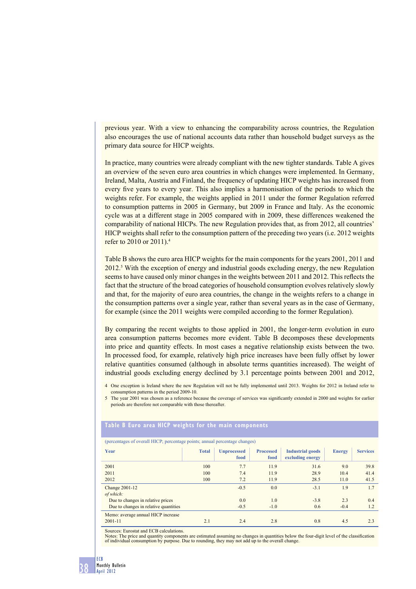previous year. With a view to enhancing the comparability across countries, the Regulation also encourages the use of national accounts data rather than household budget surveys as the primary data source for HICP weights.

In practice, many countries were already compliant with the new tighter standards. Table A gives an overview of the seven euro area countries in which changes were implemented. In Germany, Ireland, Malta, Austria and Finland, the frequency of updating HICP weights has increased from every five years to every year. This also implies a harmonisation of the periods to which the weights refer. For example, the weights applied in 2011 under the former Regulation referred to consumption patterns in 2005 in Germany, but 2009 in France and Italy. As the economic cycle was at a different stage in 2005 compared with in 2009, these differences weakened the comparability of national HICPs. The new Regulation provides that, as from 2012, all countries' HICP weights shall refer to the consumption pattern of the preceding two years (i.e. 2012 weights refer to 2010 or 2011).4

Table B shows the euro area HICP weights for the main components for the years 2001, 2011 and 2012.<sup>5</sup> With the exception of energy and industrial goods excluding energy, the new Regulation seems to have caused only minor changes in the weights between 2011 and 2012. This reflects the fact that the structure of the broad categories of household consumption evolves relatively slowly and that, for the majority of euro area countries, the change in the weights refers to a change in the consumption patterns over a single year, rather than several years as in the case of Germany, for example (since the 2011 weights were compiled according to the former Regulation).

By comparing the recent weights to those applied in 2001, the longer-term evolution in euro area consumption patterns becomes more evident. Table B decomposes these developments into price and quantity effects. In most cases a negative relationship exists between the two. In processed food, for example, relatively high price increases have been fully offset by lower relative quantities consumed (although in absolute terms quantities increased). The weight of industrial goods excluding energy declined by 3.1 percentage points between 2001 and 2012,

4 One exception is Ireland where the new Regulation will not be fully implemented until 2013. Weights for 2012 in Ireland refer to consumption patterns in the period 2009-10.

5 The year 2001 was chosen as a reference because the coverage of services was significantly extended in 2000 and weights for earlier periods are therefore not comparable with those thereafter.

## **Table B Euro area HICP weights for the main components**

(percentages of overall HICP; percentage points; annual percentage changes)

| Year                                  | <b>Total</b> | <b>Unprocessed</b><br>food | <b>Processed</b><br>food | <b>Industrial goods</b><br>excluding energy | <b>Energy</b> | <b>Services</b> |
|---------------------------------------|--------------|----------------------------|--------------------------|---------------------------------------------|---------------|-----------------|
| 2001                                  | 100          | 7.7                        | 11.9                     | 31.6                                        | 9.0           | 39.8            |
| 2011                                  | 100          | 7.4                        | 11.9                     | 28.9                                        | 10.4          | 41.4            |
| 2012                                  | 100          | 7.2                        | 11.9                     | 28.5                                        | 11.0          | 41.5            |
| <b>Change 2001-12</b>                 |              | $-0.5$                     | 0.0                      | $-3.1$                                      | 1.9           | 1.7             |
| of which:                             |              |                            |                          |                                             |               |                 |
| Due to changes in relative prices     |              | 0.0                        | 1.0                      | $-3.8$                                      | 2.3           | 0.4             |
| Due to changes in relative quantities |              | $-0.5$                     | $-1.0$                   | 0.6                                         | $-0.4$        | 1.2             |
| Memo: average annual HICP increase    |              |                            |                          |                                             |               |                 |
| $2001 - 11$                           | 2.1          | 2.4                        | 2.8                      | 0.8                                         | 4.5           | 2.3             |

Sources: Eurostat and ECB calculations.

Notes: The price and quantity components are estimated assuming no changes in quantities below the four-digit level of the classification of individual consumption by purpose. Due to rounding, they may not add up to the overall change.